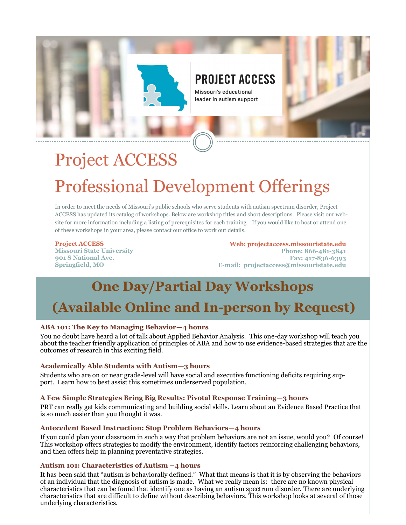# **PROJECT ACCESS**

Missouri's educational leader in autism support

# Project ACCESS Professional Development Offerings

In order to meet the needs of Missouri's public schools who serve students with autism spectrum disorder, Project ACCESS has updated its catalog of workshops. Below are workshop titles and short descriptions. Please visit our website for more information including a listing of prerequisites for each training. If you would like to host or attend one of these workshops in your area, please contact our office to work out details.

#### **Project ACCESS Missouri State University 901 S National Ave. Springfield, MO**

**Web: projectaccess.missouristate.edu Phone: 866-481-3841 Fax: 417-836-6393 E-mail: projectaccess@missouristate.edu**

# **One Day/Partial Day Workshops (Available Online and In-person by Request)**

# **ABA 101: The Key to Managing Behavior—4 hours**

You no doubt have heard a lot of talk about Applied Behavior Analysis. This one-day workshop will teach you about the teacher friendly application of principles of ABA and how to use evidence-based strategies that are the outcomes of research in this exciting field.

# **Academically Able Students with Autism—3 hours**

Students who are on or near grade-level will have social and executive functioning deficits requiring support. Learn how to best assist this sometimes underserved population.

# **A Few Simple Strategies Bring Big Results: Pivotal Response Training—3 hours**

PRT can really get kids communicating and building social skills. Learn about an Evidence Based Practice that is so much easier than you thought it was.

# **Antecedent Based Instruction: Stop Problem Behaviors—4 hours**

If you could plan your classroom in such a way that problem behaviors are not an issue, would you? Of course! This workshop offers strategies to modify the environment, identify factors reinforcing challenging behaviors, and then offers help in planning preventative strategies.

# **Autism 101: Characteristics of Autism –4 hours**

It has been said that "autism is behaviorally defined." What that means is that it is by observing the behaviors of an individual that the diagnosis of autism is made. What we really mean is: there are no known physical characteristics that can be found that identify one as having an autism spectrum disorder. There are underlying characteristics that are difficult to define without describing behaviors. This workshop looks at several of those underlying characteristics.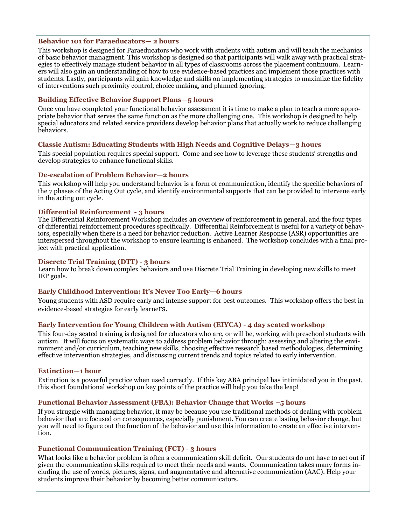# **Behavior 101 for Paraeducators— 2 hours**

This workshop is designed for Paraeducators who work with students with autism and will teach the mechanics of basic behavior managment. This workshop is designed so that participants will walk away with practical strategies to effectively manage student behavior in all types of classrooms across the placement continuum. Learners will also gain an understanding of how to use evidence-based practices and implement those practices with students. Lastly, participants will gain knowledge and skills on implementing strategies to maximize the fidelity of interventions such proximity control, choice making, and planned ignoring.

# **Building Effective Behavior Support Plans—5 hours**

Once you have completed your functional behavior assessment it is time to make a plan to teach a more appropriate behavior that serves the same function as the more challenging one. This workshop is designed to help special educators and related service providers develop behavior plans that actually work to reduce challenging behaviors.

# **Classic Autism: Educating Students with High Needs and Cognitive Delays—3 hours**

This special population requires special support. Come and see how to leverage these students' strengths and develop strategies to enhance functional skills.

# **De-escalation of Problem Behavior—2 hours**

This workshop will help you understand behavior is a form of communication, identify the specific behaviors of the 7 phases of the Acting Out cycle, and identify environmental supports that can be provided to intervene early in the acting out cycle.

#### **Differential Reinforcement - 3 hours**

The Differential Reinforcement Workshop includes an overview of reinforcement in general, and the four types of differential reinforcement procedures specifically. Differential Reinforcement is useful for a variety of behaviors, especially when there is a need for behavior reduction. Active Learner Response (ASR) opportunities are interspersed throughout the workshop to ensure learning is enhanced. The workshop concludes with a final project with practical application.

#### **Discrete Trial Training (DTT) - 3 hours**

Learn how to break down complex behaviors and use Discrete Trial Training in developing new skills to meet IEP goals.

# **Early Childhood Intervention: It's Never Too Early—6 hours**

Young students with ASD require early and intense support for best outcomes. This workshop offers the best in evidence-based strategies for early learners.

# **Early Intervention for Young Children with Autism (EIYCA) - 4 day seated workshop**

This four-day seated training is designed for educators who are, or will be, working with preschool students with autism. It will focus on systematic ways to address problem behavior through: assessing and altering the environment and/or curriculum, teaching new skills, choosing effective research based methodologies, determining effective intervention strategies, and discussing current trends and topics related to early intervention.

# **Extinction—1 hour**

Extinction is a powerful practice when used correctly. If this key ABA principal has intimidated you in the past, this short foundational workshop on key points of the practice will help you take the leap!

# **Functional Behavior Assessment (FBA): Behavior Change that Works –5 hours**

If you struggle with managing behavior, it may be because you use traditional methods of dealing with problem behavior that are focused on consequences, especially punishment. You can create lasting behavior change, but you will need to figure out the function of the behavior and use this information to create an effective intervention.

# **Functional Communication Training (FCT) - 3 hours**

What looks like a behavior problem is often a communication skill deficit. Our students do not have to act out if given the communication skills required to meet their needs and wants. Communication takes many forms including the use of words, pictures, signs, and augmentative and alternative communication (AAC). Help your students improve their behavior by becoming better communicators.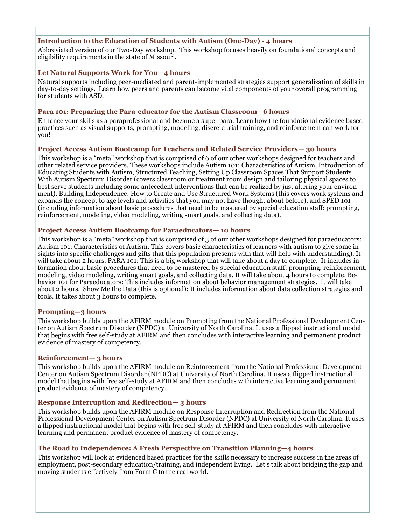# **Introduction to the Education of Students with Autism (One-Day) - 4 hours**

Abbreviated version of our Two-Day workshop. This workshop focuses heavily on foundational concepts and eligibility requirements in the state of Missouri.

# **Let Natural Supports Work for You—4 hours**

Natural supports including peer-mediated and parent-implemented strategies support generalization of skills in day-to-day settings. Learn how peers and parents can become vital components of your overall programming for students with ASD.

# **Para 101: Preparing the Para-educator for the Autism Classroom - 6 hours**

Enhance your skills as a paraprofessional and became a super para. Learn how the foundational evidence based practices such as visual supports, prompting, modeling, discrete trial training, and reinforcement can work for you!

# **Project Access Autism Bootcamp for Teachers and Related Service Providers— 30 hours**

This workshop is a "meta" workshop that is comprised of 6 of our other workshops designed for teachers and other related service providers. These workshops include Autism 101: Characteristics of Autism, Introduction of Educating Students with Autism, Structured Teaching, Setting Up Classroom Spaces That Support Students With Autism Spectrum Disorder (covers classroom or treatment room design and tailoring physical spaces to best serve students including some antecedent interventions that can be realized by just altering your environment), Building Independence: How to Create and Use Structured Work Systems (this covers work systems and expands the concept to age levels and activities that you may not have thought about before), and SPED 101 (including information about basic procedures that need to be mastered by special education staff: prompting, reinforcement, modeling, video modeling, writing smart goals, and collecting data).

# **Project Access Autism Bootcamp for Paraeducators— 10 hours**

This workshop is a "meta" workshop that is comprised of 3 of our other workshops designed for paraeducators: Autism 101: Characteristics of Autism. This covers basic characteristics of learners with autism to give some insights into specific challenges and gifts that this population presents with that will help with understanding). It will take about 2 hours. PARA 101: This is a big workshop that will take about a day to complete. It includes information about basic procedures that need to be mastered by special education staff: prompting, reinforcement, modeling, video modeling, writing smart goals, and collecting data. It will take about 4 hours to complete. Behavior 101 for Paraeducators: This includes information about behavior management strategies. It will take about 2 hours. Show Me the Data (this is optional): It includes information about data collection strategies and tools. It takes about 3 hours to complete.

# **Prompting—3 hours**

This workshop builds upon the AFIRM module on Prompting from the National Professional Development Center on Autism Spectrum Disorder (NPDC) at University of North Carolina. It uses a flipped instructional model that begins with free self-study at AFIRM and then concludes with interactive learning and permanent product evidence of mastery of competency.

# **Reinforcement— 3 hours**

This workshop builds upon the AFIRM module on Reinforcement from the National Professional Development Center on Autism Spectrum Disorder (NPDC) at University of North Carolina. It uses a flipped instructional model that begins with free self-study at AFIRM and then concludes with interactive learning and permanent product evidence of mastery of competency.

# **Response Interruption and Redirection— 3 hours**

This workshop builds upon the AFIRM module on Response Interruption and Redirection from the National Professional Development Center on Autism Spectrum Disorder (NPDC) at University of North Carolina. It uses a flipped instructional model that begins with free self-study at AFIRM and then concludes with interactive learning and permanent product evidence of mastery of competency.

# **The Road to Independence: A Fresh Perspective on Transition Planning—4 hours**

This workshop will look at evidenced based practices for the skills necessary to increase success in the areas of employment, post-secondary education/training, and independent living. Let's talk about bridging the gap and moving students effectively from Form C to the real world.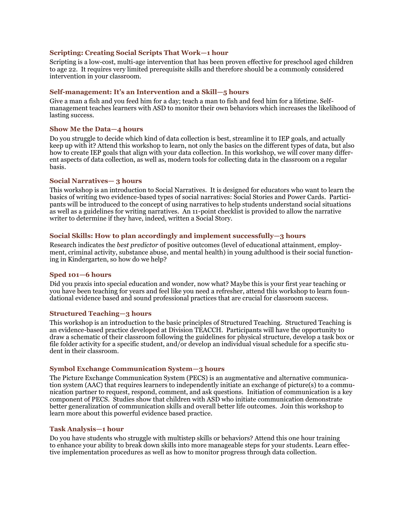## **Scripting: Creating Social Scripts That Work—1 hour**

Scripting is a low-cost, multi-age intervention that has been proven effective for preschool aged children to age 22. It requires very limited prerequisite skills and therefore should be a commonly considered intervention in your classroom.

#### **Self-management: It's an Intervention and a Skill—5 hours**

Give a man a fish and you feed him for a day; teach a man to fish and feed him for a lifetime. Selfmanagement teaches learners with ASD to monitor their own behaviors which increases the likelihood of lasting success.

#### **Show Me the Data—4 hours**

Do you struggle to decide which kind of data collection is best, streamline it to IEP goals, and actually keep up with it? Attend this workshop to learn, not only the basics on the different types of data, but also how to create IEP goals that align with your data collection. In this workshop, we will cover many different aspects of data collection, as well as, modern tools for collecting data in the classroom on a regular basis.

#### **Social Narratives— 3 hours**

This workshop is an introduction to Social Narratives. It is designed for educators who want to learn the basics of writing two evidence-based types of social narratives: Social Stories and Power Cards. Participants will be introduced to the concept of using narratives to help students understand social situations as well as a guidelines for writing narratives. An 11-point checklist is provided to allow the narrative writer to determine if they have, indeed, written a Social Story.

#### **Social Skills: How to plan accordingly and implement successfully—3 hours**

Research indicates the *best predictor* of positive outcomes (level of educational attainment, employment, criminal activity, substance abuse, and mental health) in young adulthood is their social functioning in Kindergarten, so how do we help?

#### **Sped 101—6 hours**

Did you praxis into special education and wonder, now what? Maybe this is your first year teaching or you have been teaching for years and feel like you need a refresher, attend this workshop to learn foundational evidence based and sound professional practices that are crucial for classroom success.

# **Structured Teaching—3 hours**

This workshop is an introduction to the basic principles of Structured Teaching. Structured Teaching is an evidence-based practice developed at Division TEACCH. Participants will have the opportunity to draw a schematic of their classroom following the guidelines for physical structure, develop a task box or file folder activity for a specific student, and/or develop an individual visual schedule for a specific student in their classroom.

#### **Symbol Exchange Communication System—3 hours**

The Picture Exchange Communication System (PECS) is an augmentative and alternative communication system (AAC) that requires learners to independently initiate an exchange of picture(s) to a communication partner to request, respond, comment, and ask questions. Initiation of communication is a key component of PECS. Studies show that children with ASD who initiate communication demonstrate better generalization of communication skills and overall better life outcomes. Join this workshop to learn more about this powerful evidence based practice.

#### **Task Analysis—1 hour**

Do you have students who struggle with multistep skills or behaviors? Attend this one hour training to enhance your ability to break down skills into more manageable steps for your students. Learn effective implementation procedures as well as how to monitor progress through data collection.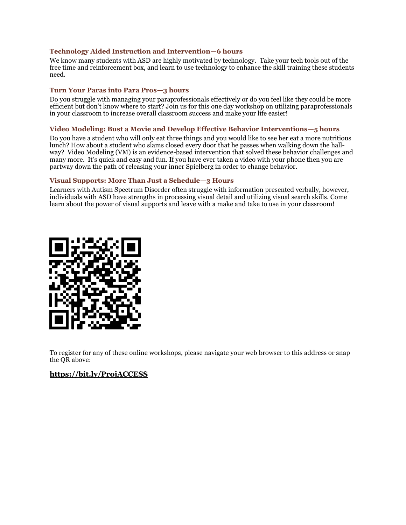# **Technology Aided Instruction and Intervention—6 hours**

We know many students with ASD are highly motivated by technology. Take your tech tools out of the free time and reinforcement box, and learn to use technology to enhance the skill training these students need.

# **Turn Your Paras into Para Pros—3 hours**

Do you struggle with managing your paraprofessionals effectively or do you feel like they could be more efficient but don't know where to start? Join us for this one day workshop on utilizing paraprofessionals in your classroom to increase overall classroom success and make your life easier!

#### **Video Modeling: Bust a Movie and Develop Effective Behavior Interventions—5 hours**

Do you have a student who will only eat three things and you would like to see her eat a more nutritious lunch? How about a student who slams closed every door that he passes when walking down the hallway? Video Modeling (VM) is an evidence-based intervention that solved these behavior challenges and many more. It's quick and easy and fun. If you have ever taken a video with your phone then you are partway down the path of releasing your inner Spielberg in order to change behavior.

#### **Visual Supports: More Than Just a Schedule—3 Hours**

Learners with Autism Spectrum Disorder often struggle with information presented verbally, however, individuals with ASD have strengths in processing visual detail and utilizing visual search skills. Come learn about the power of visual supports and leave with a make and take to use in your classroom!



To register for any of these online workshops, please navigate your web browser to this address or snap the QR above:

# **<https://bit.ly/ProjACCESS>**